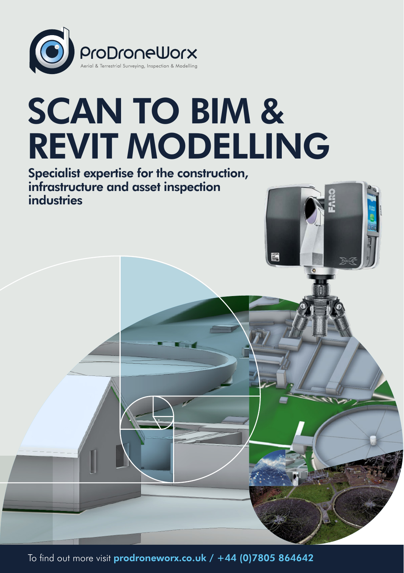

## SCAN TO BIM & REVIT MODELLING

Specialist expertise for the construction, infrastructure and asset inspection industries

To find out more visit [prodroneworx.co.uk](https://www.prodroneworx.co.uk) / +44 (0)7805 864642